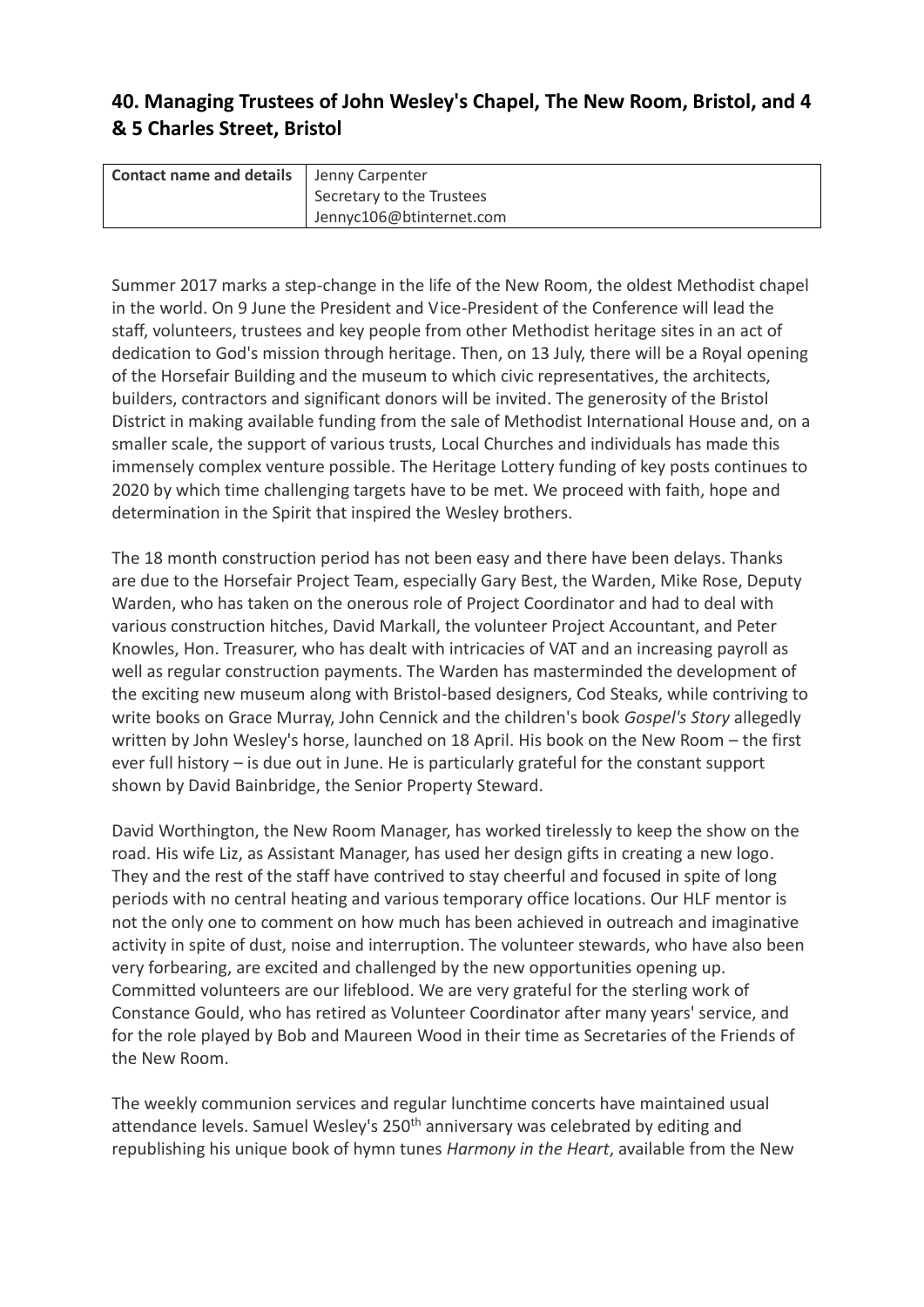# **40. Managing Trustees of John Wesley's Chapel, The New Room, Bristol, and 4 & 5 Charles Street, Bristol**

| <b>Contact name and details</b>   Jenny Carpenter |                           |  |  |
|---------------------------------------------------|---------------------------|--|--|
|                                                   | Secretary to the Trustees |  |  |
|                                                   | Jennyc106@btinternet.com  |  |  |

Summer 2017 marks a step-change in the life of the New Room, the oldest Methodist chapel in the world. On 9 June the President and Vice-President of the Conference will lead the staff, volunteers, trustees and key people from other Methodist heritage sites in an act of dedication to God's mission through heritage. Then, on 13 July, there will be a Royal opening of the Horsefair Building and the museum to which civic representatives, the architects, builders, contractors and significant donors will be invited. The generosity of the Bristol District in making available funding from the sale of Methodist International House and, on a smaller scale, the support of various trusts, Local Churches and individuals has made this immensely complex venture possible. The Heritage Lottery funding of key posts continues to 2020 by which time challenging targets have to be met. We proceed with faith, hope and determination in the Spirit that inspired the Wesley brothers.

The 18 month construction period has not been easy and there have been delays. Thanks are due to the Horsefair Project Team, especially Gary Best, the Warden, Mike Rose, Deputy Warden, who has taken on the onerous role of Project Coordinator and had to deal with various construction hitches, David Markall, the volunteer Project Accountant, and Peter Knowles, Hon. Treasurer, who has dealt with intricacies of VAT and an increasing payroll as well as regular construction payments. The Warden has masterminded the development of the exciting new museum along with Bristol-based designers, Cod Steaks, while contriving to write books on Grace Murray, John Cennick and the children's book *Gospel's Story* allegedly written by John Wesley's horse, launched on 18 April. His book on the New Room – the first ever full history – is due out in June. He is particularly grateful for the constant support shown by David Bainbridge, the Senior Property Steward.

David Worthington, the New Room Manager, has worked tirelessly to keep the show on the road. His wife Liz, as Assistant Manager, has used her design gifts in creating a new logo. They and the rest of the staff have contrived to stay cheerful and focused in spite of long periods with no central heating and various temporary office locations. Our HLF mentor is not the only one to comment on how much has been achieved in outreach and imaginative activity in spite of dust, noise and interruption. The volunteer stewards, who have also been very forbearing, are excited and challenged by the new opportunities opening up. Committed volunteers are our lifeblood. We are very grateful for the sterling work of Constance Gould, who has retired as Volunteer Coordinator after many years' service, and for the role played by Bob and Maureen Wood in their time as Secretaries of the Friends of the New Room.

The weekly communion services and regular lunchtime concerts have maintained usual attendance levels. Samuel Wesley's 250<sup>th</sup> anniversary was celebrated by editing and republishing his unique book of hymn tunes *Harmony in the Heart*, available from the New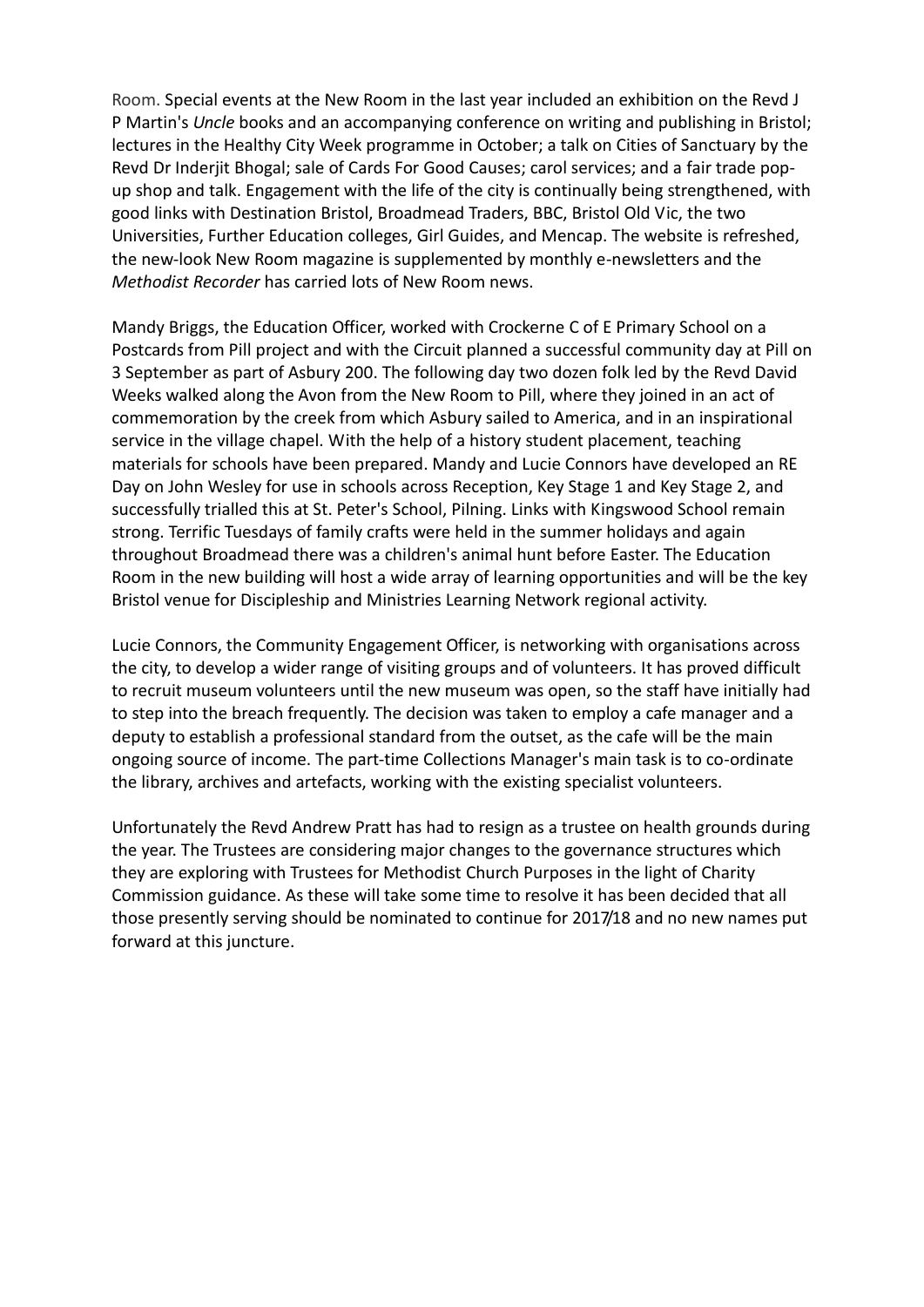Room. Special events at the New Room in the last year included an exhibition on the Revd J P Martin's *Uncle* books and an accompanying conference on writing and publishing in Bristol; lectures in the Healthy City Week programme in October; a talk on Cities of Sanctuary by the Revd Dr Inderjit Bhogal; sale of Cards For Good Causes; carol services; and a fair trade popup shop and talk. Engagement with the life of the city is continually being strengthened, with good links with Destination Bristol, Broadmead Traders, BBC, Bristol Old Vic, the two Universities, Further Education colleges, Girl Guides, and Mencap. The website is refreshed, the new-look New Room magazine is supplemented by monthly e-newsletters and the *Methodist Recorder* has carried lots of New Room news.

Mandy Briggs, the Education Officer, worked with Crockerne C of E Primary School on a Postcards from Pill project and with the Circuit planned a successful community day at Pill on 3 September as part of Asbury 200. The following day two dozen folk led by the Revd David Weeks walked along the Avon from the New Room to Pill, where they joined in an act of commemoration by the creek from which Asbury sailed to America, and in an inspirational service in the village chapel. With the help of a history student placement, teaching materials for schools have been prepared. Mandy and Lucie Connors have developed an RE Day on John Wesley for use in schools across Reception, Key Stage 1 and Key Stage 2, and successfully trialled this at St. Peter's School, Pilning. Links with Kingswood School remain strong. Terrific Tuesdays of family crafts were held in the summer holidays and again throughout Broadmead there was a children's animal hunt before Easter. The Education Room in the new building will host a wide array of learning opportunities and will be the key Bristol venue for Discipleship and Ministries Learning Network regional activity.

Lucie Connors, the Community Engagement Officer, is networking with organisations across the city, to develop a wider range of visiting groups and of volunteers. It has proved difficult to recruit museum volunteers until the new museum was open, so the staff have initially had to step into the breach frequently. The decision was taken to employ a cafe manager and a deputy to establish a professional standard from the outset, as the cafe will be the main ongoing source of income. The part-time Collections Manager's main task is to co-ordinate the library, archives and artefacts, working with the existing specialist volunteers.

Unfortunately the Revd Andrew Pratt has had to resign as a trustee on health grounds during the year. The Trustees are considering major changes to the governance structures which they are exploring with Trustees for Methodist Church Purposes in the light of Charity Commission guidance. As these will take some time to resolve it has been decided that all those presently serving should be nominated to continue for 2017/18 and no new names put forward at this juncture.